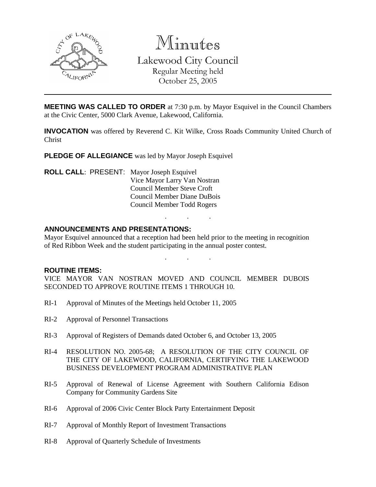

Minutes Lakewood City Council Regular Meeting held October 25, 2005

**MEETING WAS CALLED TO ORDER** at 7:30 p.m. by Mayor Esquivel in the Council Chambers at the Civic Center, 5000 Clark Avenue, Lakewood, California.

**INVOCATION** was offered by Reverend C. Kit Wilke, Cross Roads Community United Church of Christ

**PLEDGE OF ALLEGIANCE** was led by Mayor Joseph Esquivel

**ROLL CALL**: PRESENT: Mayor Joseph Esquivel Vice Mayor Larry Van Nostran Council Member Steve Croft Council Member Diane DuBois Council Member Todd Rogers

#### **ANNOUNCEMENTS AND PRESENTATIONS:**

Mayor Esquivel announced that a reception had been held prior to the meeting in recognition of Red Ribbon Week and the student participating in the annual poster contest.

. . .

. . .

**ROUTINE ITEMS:**

VICE MAYOR VAN NOSTRAN MOVED AND COUNCIL MEMBER DUBOIS SECONDED TO APPROVE ROUTINE ITEMS 1 THROUGH 10.

- RI-1 Approval of Minutes of the Meetings held October 11, 2005
- RI-2 Approval of Personnel Transactions
- RI-3 Approval of Registers of Demands dated October 6, and October 13, 2005
- RI-4 RESOLUTION NO. 2005-68; A RESOLUTION OF THE CITY COUNCIL OF THE CITY OF LAKEWOOD, CALIFORNIA, CERTIFYING THE LAKEWOOD BUSINESS DEVELOPMENT PROGRAM ADMINISTRATIVE PLAN
- RI-5 Approval of Renewal of License Agreement with Southern California Edison Company for Community Gardens Site
- RI-6 Approval of 2006 Civic Center Block Party Entertainment Deposit
- RI-7 Approval of Monthly Report of Investment Transactions
- RI-8 Approval of Quarterly Schedule of Investments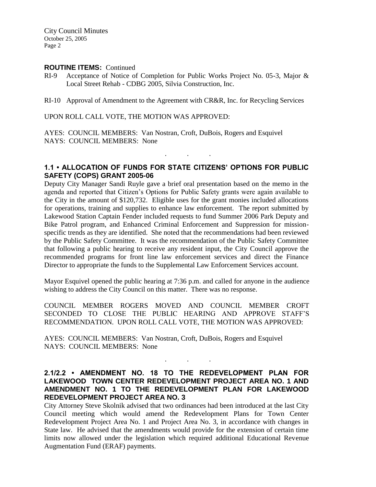#### **ROUTINE ITEMS:** Continued

RI-9 Acceptance of Notice of Completion for Public Works Project No. 05-3, Major & Local Street Rehab - CDBG 2005, Silvia Construction, Inc.

RI-10 Approval of Amendment to the Agreement with CR&R, Inc. for Recycling Services

UPON ROLL CALL VOTE, THE MOTION WAS APPROVED:

AYES: COUNCIL MEMBERS: Van Nostran, Croft, DuBois, Rogers and Esquivel NAYS: COUNCIL MEMBERS: None

### **1.1 • ALLOCATION OF FUNDS FOR STATE CITIZENS' OPTIONS FOR PUBLIC SAFETY (COPS) GRANT 2005-06**

. . .

Deputy City Manager Sandi Ruyle gave a brief oral presentation based on the memo in the agenda and reported that Citizen's Options for Public Safety grants were again available to the City in the amount of \$120,732. Eligible uses for the grant monies included allocations for operations, training and supplies to enhance law enforcement. The report submitted by Lakewood Station Captain Fender included requests to fund Summer 2006 Park Deputy and Bike Patrol program, and Enhanced Criminal Enforcement and Suppression for missionspecific trends as they are identified. She noted that the recommendations had been reviewed by the Public Safety Committee. It was the recommendation of the Public Safety Committee that following a public hearing to receive any resident input, the City Council approve the recommended programs for front line law enforcement services and direct the Finance Director to appropriate the funds to the Supplemental Law Enforcement Services account.

Mayor Esquivel opened the public hearing at 7:36 p.m. and called for anyone in the audience wishing to address the City Council on this matter. There was no response.

COUNCIL MEMBER ROGERS MOVED AND COUNCIL MEMBER CROFT SECONDED TO CLOSE THE PUBLIC HEARING AND APPROVE STAFF'S RECOMMENDATION. UPON ROLL CALL VOTE, THE MOTION WAS APPROVED:

AYES: COUNCIL MEMBERS: Van Nostran, Croft, DuBois, Rogers and Esquivel NAYS: COUNCIL MEMBERS: None

## **2.1/2.2 • AMENDMENT NO. 18 TO THE REDEVELOPMENT PLAN FOR LAKEWOOD TOWN CENTER REDEVELOPMENT PROJECT AREA NO. 1 AND AMENDMENT NO. 1 TO THE REDEVELOPMENT PLAN FOR LAKEWOOD REDEVELOPMENT PROJECT AREA NO. 3**

. . .

City Attorney Steve Skolnik advised that two ordinances had been introduced at the last City Council meeting which would amend the Redevelopment Plans for Town Center Redevelopment Project Area No. 1 and Project Area No. 3, in accordance with changes in State law. He advised that the amendments would provide for the extension of certain time limits now allowed under the legislation which required additional Educational Revenue Augmentation Fund (ERAF) payments.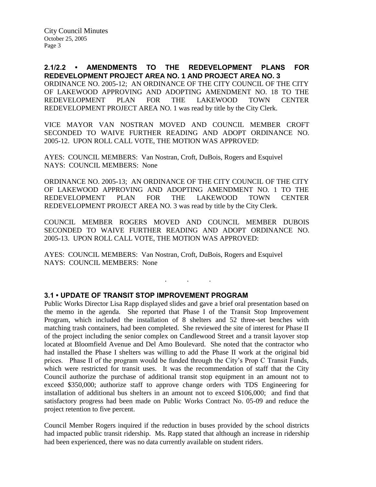**2.1/2.2 • AMENDMENTS TO THE REDEVELOPMENT PLANS FOR REDEVELOPMENT PROJECT AREA NO. 1 AND PROJECT AREA NO. 3** ORDINANCE NO. 2005-12; AN ORDINANCE OF THE CITY COUNCIL OF THE CITY OF LAKEWOOD APPROVING AND ADOPTING AMENDMENT NO. 18 TO THE REDEVELOPMENT PLAN FOR THE LAKEWOOD TOWN CENTER REDEVELOPMENT PROJECT AREA NO. 1 was read by title by the City Clerk.

VICE MAYOR VAN NOSTRAN MOVED AND COUNCIL MEMBER CROFT SECONDED TO WAIVE FURTHER READING AND ADOPT ORDINANCE NO. 2005-12. UPON ROLL CALL VOTE, THE MOTION WAS APPROVED:

AYES: COUNCIL MEMBERS: Van Nostran, Croft, DuBois, Rogers and Esquivel NAYS: COUNCIL MEMBERS: None

ORDINANCE NO. 2005-13; AN ORDINANCE OF THE CITY COUNCIL OF THE CITY OF LAKEWOOD APPROVING AND ADOPTING AMENDMENT NO. 1 TO THE REDEVELOPMENT PLAN FOR THE LAKEWOOD TOWN CENTER REDEVELOPMENT PROJECT AREA NO. 3 was read by title by the City Clerk.

COUNCIL MEMBER ROGERS MOVED AND COUNCIL MEMBER DUBOIS SECONDED TO WAIVE FURTHER READING AND ADOPT ORDINANCE NO. 2005-13. UPON ROLL CALL VOTE, THE MOTION WAS APPROVED:

. . .

AYES: COUNCIL MEMBERS: Van Nostran, Croft, DuBois, Rogers and Esquivel NAYS: COUNCIL MEMBERS: None

### **3.1 • UPDATE OF TRANSIT STOP IMPROVEMENT PROGRAM**

Public Works Director Lisa Rapp displayed slides and gave a brief oral presentation based on the memo in the agenda. She reported that Phase I of the Transit Stop Improvement Program, which included the installation of 8 shelters and 52 three-set benches with matching trash containers, had been completed. She reviewed the site of interest for Phase II of the project including the senior complex on Candlewood Street and a transit layover stop located at Bloomfield Avenue and Del Amo Boulevard. She noted that the contractor who had installed the Phase I shelters was willing to add the Phase II work at the original bid prices. Phase II of the program would be funded through the City's Prop C Transit Funds, which were restricted for transit uses. It was the recommendation of staff that the City Council authorize the purchase of additional transit stop equipment in an amount not to exceed \$350,000; authorize staff to approve change orders with TDS Engineering for installation of additional bus shelters in an amount not to exceed \$106,000; and find that satisfactory progress had been made on Public Works Contract No. 05-09 and reduce the project retention to five percent.

Council Member Rogers inquired if the reduction in buses provided by the school districts had impacted public transit ridership. Ms. Rapp stated that although an increase in ridership had been experienced, there was no data currently available on student riders.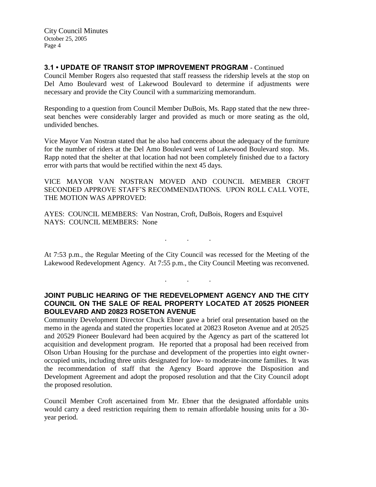## **3.1 • UPDATE OF TRANSIT STOP IMPROVEMENT PROGRAM** - Continued

Council Member Rogers also requested that staff reassess the ridership levels at the stop on Del Amo Boulevard west of Lakewood Boulevard to determine if adjustments were necessary and provide the City Council with a summarizing memorandum.

Responding to a question from Council Member DuBois, Ms. Rapp stated that the new threeseat benches were considerably larger and provided as much or more seating as the old, undivided benches.

Vice Mayor Van Nostran stated that he also had concerns about the adequacy of the furniture for the number of riders at the Del Amo Boulevard west of Lakewood Boulevard stop. Ms. Rapp noted that the shelter at that location had not been completely finished due to a factory error with parts that would be rectified within the next 45 days.

VICE MAYOR VAN NOSTRAN MOVED AND COUNCIL MEMBER CROFT SECONDED APPROVE STAFF'S RECOMMENDATIONS. UPON ROLL CALL VOTE, THE MOTION WAS APPROVED:

AYES: COUNCIL MEMBERS: Van Nostran, Croft, DuBois, Rogers and Esquivel NAYS: COUNCIL MEMBERS: None

At 7:53 p.m., the Regular Meeting of the City Council was recessed for the Meeting of the Lakewood Redevelopment Agency. At 7:55 p.m., the City Council Meeting was reconvened.

. . .

. . .

**JOINT PUBLIC HEARING OF THE REDEVELOPMENT AGENCY AND THE CITY COUNCIL ON THE SALE OF REAL PROPERTY LOCATED AT 20525 PIONEER BOULEVARD AND 20823 ROSETON AVENUE**

Community Development Director Chuck Ebner gave a brief oral presentation based on the memo in the agenda and stated the properties located at 20823 Roseton Avenue and at 20525 and 20529 Pioneer Boulevard had been acquired by the Agency as part of the scattered lot acquisition and development program. He reported that a proposal had been received from Olson Urban Housing for the purchase and development of the properties into eight owneroccupied units, including three units designated for low- to moderate-income families. It was the recommendation of staff that the Agency Board approve the Disposition and Development Agreement and adopt the proposed resolution and that the City Council adopt the proposed resolution.

Council Member Croft ascertained from Mr. Ebner that the designated affordable units would carry a deed restriction requiring them to remain affordable housing units for a 30 year period.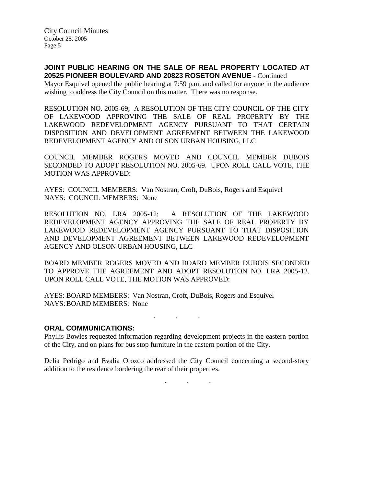**JOINT PUBLIC HEARING ON THE SALE OF REAL PROPERTY LOCATED AT 20525 PIONEER BOULEVARD AND 20823 ROSETON AVENUE** - Continued

Mayor Esquivel opened the public hearing at 7:59 p.m. and called for anyone in the audience wishing to address the City Council on this matter. There was no response.

RESOLUTION NO. 2005-69; A RESOLUTION OF THE CITY COUNCIL OF THE CITY OF LAKEWOOD APPROVING THE SALE OF REAL PROPERTY BY THE LAKEWOOD REDEVELOPMENT AGENCY PURSUANT TO THAT CERTAIN DISPOSITION AND DEVELOPMENT AGREEMENT BETWEEN THE LAKEWOOD REDEVELOPMENT AGENCY AND OLSON URBAN HOUSING, LLC

COUNCIL MEMBER ROGERS MOVED AND COUNCIL MEMBER DUBOIS SECONDED TO ADOPT RESOLUTION NO. 2005-69. UPON ROLL CALL VOTE, THE MOTION WAS APPROVED:

AYES: COUNCIL MEMBERS: Van Nostran, Croft, DuBois, Rogers and Esquivel NAYS: COUNCIL MEMBERS: None

RESOLUTION NO. LRA 2005-12; A RESOLUTION OF THE LAKEWOOD REDEVELOPMENT AGENCY APPROVING THE SALE OF REAL PROPERTY BY LAKEWOOD REDEVELOPMENT AGENCY PURSUANT TO THAT DISPOSITION AND DEVELOPMENT AGREEMENT BETWEEN LAKEWOOD REDEVELOPMENT AGENCY AND OLSON URBAN HOUSING, LLC

BOARD MEMBER ROGERS MOVED AND BOARD MEMBER DUBOIS SECONDED TO APPROVE THE AGREEMENT AND ADOPT RESOLUTION NO. LRA 2005-12. UPON ROLL CALL VOTE, THE MOTION WAS APPROVED:

AYES: BOARD MEMBERS: Van Nostran, Croft, DuBois, Rogers and Esquivel NAYS:BOARD MEMBERS: None

. . .

#### **ORAL COMMUNICATIONS:**

Phyllis Bowles requested information regarding development projects in the eastern portion of the City, and on plans for bus stop furniture in the eastern portion of the City.

Delia Pedrigo and Evalia Orozco addressed the City Council concerning a second-story addition to the residence bordering the rear of their properties.

. . .